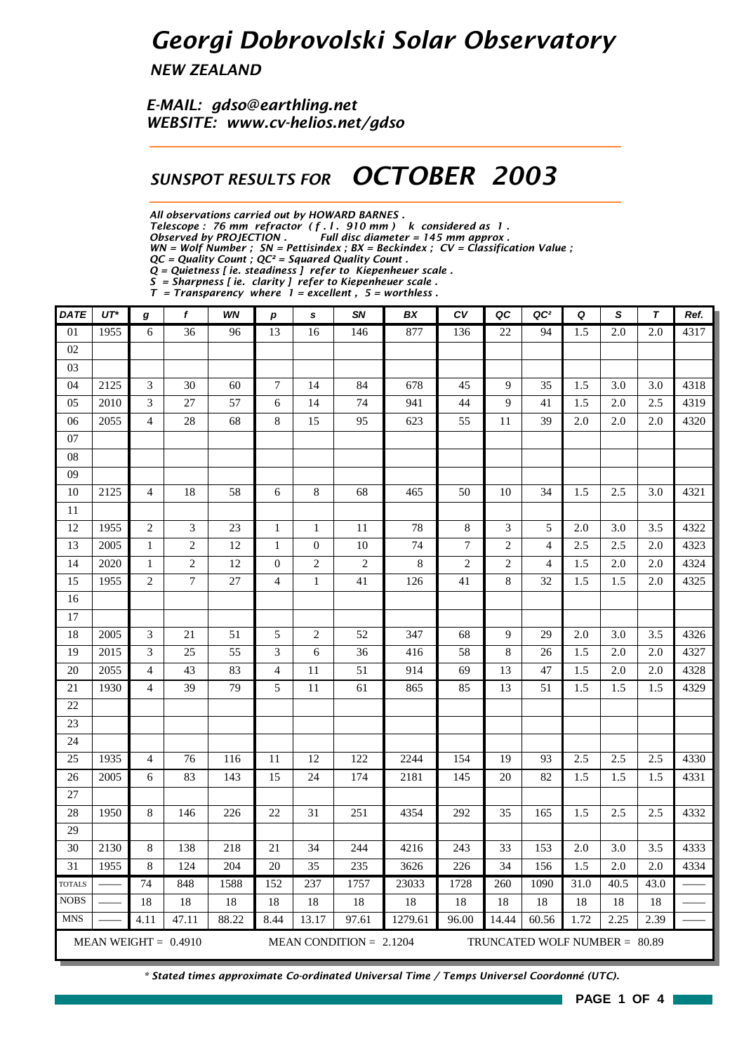## *Georgi Dobrovolski Solar Observatory*

*NEW ZEALAND*

*E-MAIL: gdso@earthling.net WEBSITE: www.cv-helios.net/gdso*

## *SUNSPOT RESULTS FOR OCTOBER 2003*

*All observations carried out by HOWARD BARNES .*

*Telescope : 76 mm refractor ( f . l . 910 mm ) k considered as 1 .*

*Observed by PROJECTION . Full disc diameter = 145 mm approx .*

*WN = Wolf Number ; SN = Pettisindex ; BX = Beckindex ; CV = Classification Value ;*

*QC = Quality Count ; QC² = Squared Quality Count . Q = Quietness [ ie. steadiness ] refer to Kiepenheuer scale .*

*S = Sharpness [ ie. clarity ] refer to Kiepenheuer scale .*

*T = Transparency where 1 = excellent , 5 = worthless .*

| <b>DATE</b>   | $UT^*$ | g              | f                      | WN    | $\boldsymbol{p}$ | $\mathbf s$      | SN                        | BX      | $c_{V}$     | QC             | QC <sup>2</sup>               | Q    | S                | $\tau$ | Ref. |
|---------------|--------|----------------|------------------------|-------|------------------|------------------|---------------------------|---------|-------------|----------------|-------------------------------|------|------------------|--------|------|
| 01            | 1955   | 6              | 36                     | 96    | 13               | 16               | 146                       | 877     | 136         | 22             | 94                            | 1.5  | $\overline{2.0}$ | 2.0    | 4317 |
| 02            |        |                |                        |       |                  |                  |                           |         |             |                |                               |      |                  |        |      |
| 03            |        |                |                        |       |                  |                  |                           |         |             |                |                               |      |                  |        |      |
| 04            | 2125   | $\mathfrak{Z}$ | 30                     | 60    | 7                | 14               | 84                        | 678     | 45          | 9              | 35                            | 1.5  | 3.0              | 3.0    | 4318 |
| 05            | 2010   | $\mathfrak{Z}$ | 27                     | 57    | 6                | 14               | 74                        | 941     | 44          | 9              | 41                            | 1.5  | 2.0              | 2.5    | 4319 |
| 06            | 2055   | $\overline{4}$ | 28                     | 68    | $\bf 8$          | 15               | 95                        | 623     | 55          | 11             | 39                            | 2.0  | 2.0              | 2.0    | 4320 |
| 07            |        |                |                        |       |                  |                  |                           |         |             |                |                               |      |                  |        |      |
| ${\bf 08}$    |        |                |                        |       |                  |                  |                           |         |             |                |                               |      |                  |        |      |
| 09            |        |                |                        |       |                  |                  |                           |         |             |                |                               |      |                  |        |      |
| 10            | 2125   | $\overline{4}$ | 18                     | 58    | 6                | $\,8\,$          | 68                        | 465     | 50          | 10             | 34                            | 1.5  | 2.5              | 3.0    | 4321 |
| $11\,$        |        |                |                        |       |                  |                  |                           |         |             |                |                               |      |                  |        |      |
| 12            | 1955   | $\sqrt{2}$     | 3                      | 23    | $\mathbf{1}$     | $\mathbf{1}$     | 11                        | 78      | $\,$ 8 $\,$ | 3              | 5                             | 2.0  | 3.0              | 3.5    | 4322 |
| 13            | 2005   | $\mathbf{1}$   | $\overline{c}$         | 12    | $\mathbf{1}$     | $\boldsymbol{0}$ | $10\,$                    | 74      | $\tau$      | $\overline{c}$ | $\overline{4}$                | 2.5  | 2.5              | 2.0    | 4323 |
| 14            | 2020   | $\mathbf 1$    | $\overline{c}$         | 12    | $\boldsymbol{0}$ | $\mathfrak{2}$   | $\overline{c}$            | 8       | $\sqrt{2}$  | $\overline{c}$ | $\overline{4}$                | 1.5  | 2.0              | 2.0    | 4324 |
| 15            | 1955   | $\overline{2}$ | $\tau$                 | 27    | $\overline{4}$   | $\mathbf{1}$     | 41                        | 126     | 41          | 8              | 32                            | 1.5  | 1.5              | 2.0    | 4325 |
| 16            |        |                |                        |       |                  |                  |                           |         |             |                |                               |      |                  |        |      |
| 17            |        |                |                        |       |                  |                  |                           |         |             |                |                               |      |                  |        |      |
| 18            | 2005   | 3              | 21                     | 51    | 5                | $\overline{c}$   | 52                        | 347     | 68          | 9              | 29                            | 2.0  | 3.0              | 3.5    | 4326 |
| 19            | 2015   | $\mathfrak{Z}$ | 25                     | 55    | 3                | 6                | 36                        | 416     | 58          | $\,8\,$        | 26                            | 1.5  | 2.0              | 2.0    | 4327 |
| 20            | 2055   | $\overline{4}$ | 43                     | 83    | $\overline{4}$   | 11               | 51                        | 914     | 69          | 13             | 47                            | 1.5  | 2.0              | 2.0    | 4328 |
| 21            | 1930   | $\overline{4}$ | 39                     | 79    | 5                | 11               | 61                        | 865     | 85          | 13             | 51                            | 1.5  | 1.5              | 1.5    | 4329 |
| 22            |        |                |                        |       |                  |                  |                           |         |             |                |                               |      |                  |        |      |
| 23            |        |                |                        |       |                  |                  |                           |         |             |                |                               |      |                  |        |      |
| 24            |        |                |                        |       |                  |                  |                           |         |             |                |                               |      |                  |        |      |
| 25            | 1935   | $\overline{4}$ | 76                     | 116   | 11               | 12               | 122                       | 2244    | 154         | 19             | 93                            | 2.5  | 2.5              | 2.5    | 4330 |
| 26            | 2005   | 6              | 83                     | 143   | 15               | 24               | 174                       | 2181    | 145         | 20             | 82                            | 1.5  | 1.5              | $1.5$  | 4331 |
| $27\,$        |        |                |                        |       |                  |                  |                           |         |             |                |                               |      |                  |        |      |
| 28            | 1950   | $\,8\,$        | 146                    | 226   | 22               | 31               | 251                       | 4354    | 292         | 35             | 165                           | 1.5  | 2.5              | 2.5    | 4332 |
| 29            |        |                |                        |       |                  |                  |                           |         |             |                |                               |      |                  |        |      |
| 30            | 2130   | $\,8\,$        | 138                    | 218   | 21               | 34               | 244                       | 4216    | 243         | 33             | 153                           | 2.0  | 3.0              | 3.5    | 4333 |
| 31            | 1955   | $\,$ 8 $\,$    | 124                    | 204   | 20               | 35               | 235                       | 3626    | 226         | 34             | 156                           | 1.5  | 2.0              | 2.0    | 4334 |
| <b>TOTALS</b> |        | 74             | 848                    | 1588  | 152              | 237              | 1757                      | 23033   | 1728        | 260            | 1090                          | 31.0 | 40.5             | 43.0   |      |
| <b>NOBS</b>   |        | 18             | 18                     | 18    | 18               | 18               | 18                        | 18      | 18          | 18             | 18                            | 18   | 18               | $18\,$ |      |
| <b>MNS</b>    |        | 4.11           | 47.11                  | 88.22 | 8.44             | 13.17            | 97.61                     | 1279.61 | 96.00       | 14.44          | 60.56                         | 1.72 | 2.25             | 2.39   |      |
|               |        |                | MEAN WEIGHT = $0.4910$ |       |                  |                  | MEAN CONDITION = $2.1204$ |         |             |                | TRUNCATED WOLF NUMBER = 80.89 |      |                  |        |      |

*\* Stated times approximate Co-ordinated Universal Time / Temps Universel Coordonné (UTC).*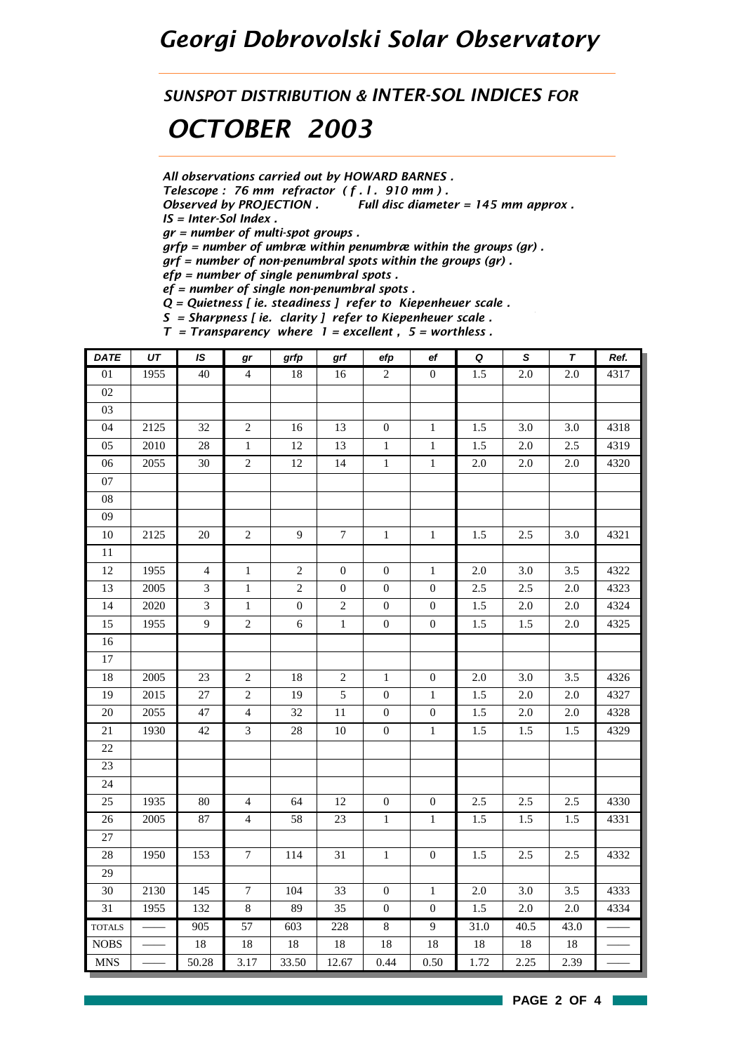## *Georgi Dobrovolski Solar Observatory*

*SUNSPOT DISTRIBUTION & INTER-SOL INDICES FOR*

## *OCTOBER 2003*

*All observations carried out by HOWARD BARNES .*

*Telescope : 76 mm refractor ( f . l . 910 mm ) .*

*Observed by PROJECTION . Full disc diameter = 145 mm approx . IS = Inter-Sol Index .*

*gr = number of multi-spot groups .*

*grfp = number of umbræ within penumbræ within the groups (gr) .*

*grf = number of non-penumbral spots within the groups (gr) .*

*efp = number of single penumbral spots .*

*ef = number of single non-penumbral spots .*

*Q = Quietness [ ie. steadiness ] refer to Kiepenheuer scale .*

*S = Sharpness [ ie. clarity ] refer to Kiepenheuer scale .*  $\frac{1}{2}$  =  $\frac{1}{2}$  = excellent  $\frac{1}{2}$  = worthless

| <b>DATE</b>     | $\overline{UT}$ | $\overline{1S}$ | gr               | grfp           | grf            | efp              | $_{\rm ef}$      | $\overline{\mathbf{Q}}$ | $\overline{s}$ | $\overline{\tau}$ | Ref. |
|-----------------|-----------------|-----------------|------------------|----------------|----------------|------------------|------------------|-------------------------|----------------|-------------------|------|
| 01              | 1955            | 40              | $\overline{4}$   | 18             | 16             | $\overline{c}$   | $\boldsymbol{0}$ | 1.5                     | $2.0\,$        | 2.0               | 4317 |
| $02\,$          |                 |                 |                  |                |                |                  |                  |                         |                |                   |      |
| 03              |                 |                 |                  |                |                |                  |                  |                         |                |                   |      |
| 04              | 2125            | 32              | $\sqrt{2}$       | 16             | 13             | $\boldsymbol{0}$ | $\mathbf{1}$     | 1.5                     | 3.0            | 3.0               | 4318 |
| 05              | 2010            | 28              | $1\,$            | 12             | 13             | $\mathbf{1}$     | $1\,$            | 1.5                     | $2.0\,$        | 2.5               | 4319 |
| 06              | 2055            | 30              | $\sqrt{2}$       | $12\,$         | 14             | $\mathbf{1}$     | $\mathbf{1}$     | $2.0\,$                 | $2.0\,$        | $2.0\,$           | 4320 |
| 07              |                 |                 |                  |                |                |                  |                  |                         |                |                   |      |
| ${\bf 08}$      |                 |                 |                  |                |                |                  |                  |                         |                |                   |      |
| 09              |                 |                 |                  |                |                |                  |                  |                         |                |                   |      |
| $10\,$          | 2125            | 20              | $\overline{2}$   | 9              | $\overline{7}$ | $\mathbf 1$      | $\mathbf{1}$     | 1.5                     | 2.5            | 3.0               | 4321 |
| $\overline{11}$ |                 |                 |                  |                |                |                  |                  |                         |                |                   |      |
| 12              | 1955            | $\overline{4}$  | $\mathbf{1}$     | $\overline{2}$ | $\mathbf{0}$   | $\mathbf{0}$     | $\mathbf{1}$     | 2.0                     | 3.0            | 3.5               | 4322 |
| 13              | 2005            | 3               | $\mathbf{1}$     | $\overline{c}$ | $\overline{0}$ | $\overline{0}$   | $\mathbf{0}$     | $2.5\,$                 | 2.5            | 2.0               | 4323 |
| 14              | 2020            | 3               | $\mathbf{1}$     | $\mathbf{0}$   | 2              | $\mathbf{0}$     | $\mathbf{0}$     | 1.5                     | 2.0            | 2.0               | 4324 |
| 15              | 1955            | 9               | $\overline{c}$   | $\sqrt{6}$     | $\,1\,$        | $\boldsymbol{0}$ | $\boldsymbol{0}$ | 1.5                     | 1.5            | $2.0\,$           | 4325 |
| 16              |                 |                 |                  |                |                |                  |                  |                         |                |                   |      |
| $17\,$          |                 |                 |                  |                |                |                  |                  |                         |                |                   |      |
| 18              | 2005            | 23              | $\sqrt{2}$       | 18             | $\sqrt{2}$     | $\mathbf{1}$     | $\mathbf{0}$     | $2.0\,$                 | 3.0            | 3.5               | 4326 |
| 19              | 2015            | 27              | $\sqrt{2}$       | 19             | $\sqrt{5}$     | $\mathbf{0}$     | 1                | 1.5                     | $2.0\,$        | $2.0\,$           | 4327 |
| 20              | 2055            | 47              | $\overline{4}$   | 32             | $11\,$         | $\boldsymbol{0}$ | $\boldsymbol{0}$ | 1.5                     | $2.0\,$        | $2.0\,$           | 4328 |
| 21              | 1930            | 42              | $\overline{3}$   | $28\,$         | $10\,$         | $\boldsymbol{0}$ | $\,1\,$          | 1.5                     | 1.5            | 1.5               | 4329 |
| 22              |                 |                 |                  |                |                |                  |                  |                         |                |                   |      |
| $23\,$          |                 |                 |                  |                |                |                  |                  |                         |                |                   |      |
| $24\,$          |                 |                 |                  |                |                |                  |                  |                         |                |                   |      |
| 25              | 1935            | 80              | $\overline{4}$   | 64             | 12             | $\boldsymbol{0}$ | $\mathbf{0}$     | 2.5                     | 2.5            | 2.5               | 4330 |
| $26\,$          | 2005            | 87              | $\overline{4}$   | 58             | 23             | $\mathbf{1}$     | $\mathbf{1}$     | 1.5                     | 1.5            | 1.5               | 4331 |
| 27              |                 |                 |                  |                |                |                  |                  |                         |                |                   |      |
| 28              | 1950            | 153             | $\boldsymbol{7}$ | 114            | 31             | $\,1$            | $\boldsymbol{0}$ | 1.5                     | 2.5            | 2.5               | 4332 |
| 29              |                 |                 |                  |                |                |                  |                  |                         |                |                   |      |
| $30\,$          | 2130            | 145             | $\boldsymbol{7}$ | 104            | 33             | $\mathbf{0}$     | $\mathbf{1}$     | $2.0\,$                 | $3.0\,$        | 3.5               | 4333 |
| 31              | 1955            | 132             | $\,8\,$          | 89             | 35             | $\mathbf{0}$     | $\mathbf{0}$     | 1.5                     | $2.0\,$        | $2.0\,$           | 4334 |
| <b>TOTALS</b>   |                 | 905             | 57               | 603            | 228            | $\sqrt{8}$       | $\overline{9}$   | 31.0                    | 40.5           | 43.0              |      |
| <b>NOBS</b>     |                 | $18\,$          | $18\,$           | $18\,$         | $18\,$         | 18               | $18\,$           | $18\,$                  | $18\,$         | $18\,$            |      |
| <b>MNS</b>      |                 | 50.28           | 3.17             | 33.50          | 12.67          | 0.44             | 0.50             | 1.72                    | 2.25           | 2.39              |      |

**PAGE 2 OF 4**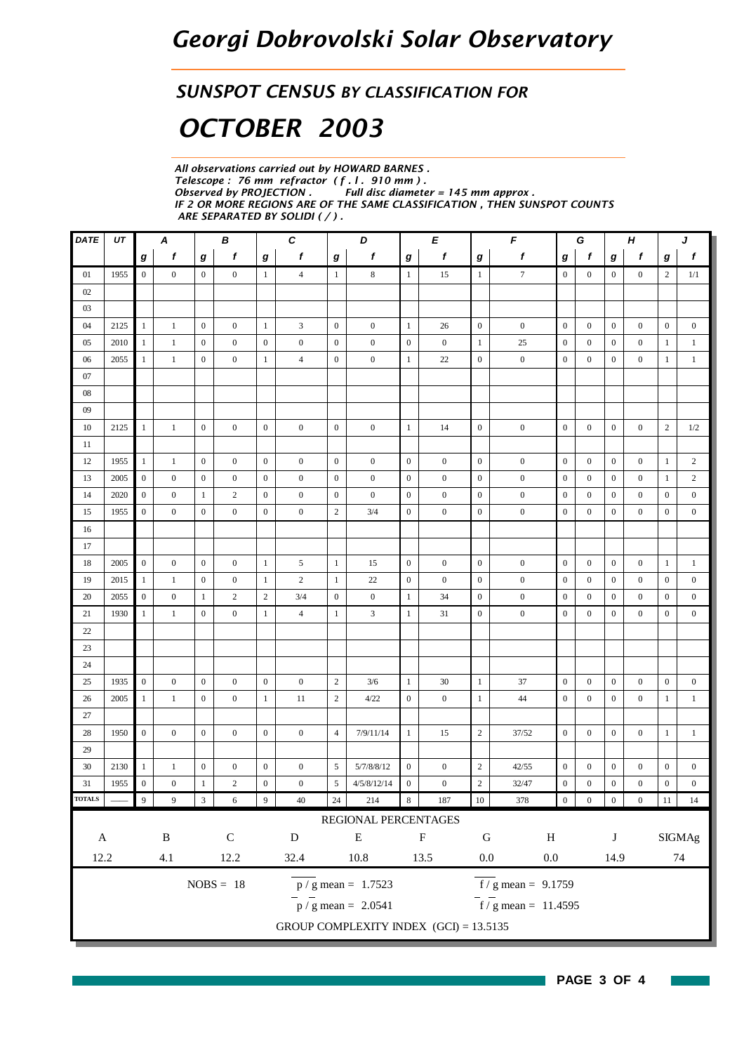### *SUNSPOT CENSUS BY CLASSIFICATION FOR*

# *OCTOBER 2003*

*All observations carried out by HOWARD BARNES . Telescope : 76 mm refractor ( f . l . 910 mm ) .* **Full disc diameter = 145 mm approx.** *IF 2 OR MORE REGIONS ARE OF THE SAME CLASSIFICATION , THEN SUNSPOT COUNTS ARE SEPARATED BY SOLIDI ( / ) .*

| <b>DATE</b>         | UT   |                  | Α                |                  | В                |                  | $\pmb{C}$        |                  | D                                        |                  | E                |                  | F                                         | G<br>H           |                  |                  |                  | J                |                  |
|---------------------|------|------------------|------------------|------------------|------------------|------------------|------------------|------------------|------------------------------------------|------------------|------------------|------------------|-------------------------------------------|------------------|------------------|------------------|------------------|------------------|------------------|
|                     |      | $\bm{g}$         | f                | g                | f                | g                | $\mathbf f$      | g                | f                                        | g                | f                | g                | f                                         | g                | f                | g                | f                | g                | $\mathbf f$      |
| 01                  | 1955 | $\mathbf{0}$     | $\overline{0}$   | $\mathbf{0}$     | $\overline{0}$   | $\mathbf{1}$     | $\overline{4}$   | $\mathbf{1}$     | 8                                        | $\mathbf{1}$     | 15               | $\mathbf{1}$     | $7\phantom{.0}$                           | $\boldsymbol{0}$ | $\boldsymbol{0}$ | $\boldsymbol{0}$ | $\boldsymbol{0}$ | 2                | 1/1              |
| 02                  |      |                  |                  |                  |                  |                  |                  |                  |                                          |                  |                  |                  |                                           |                  |                  |                  |                  |                  |                  |
| 03                  |      |                  |                  |                  |                  |                  |                  |                  |                                          |                  |                  |                  |                                           |                  |                  |                  |                  |                  |                  |
| 04                  | 2125 | $\mathbf{1}$     | 1                | $\mathbf{0}$     | $\mathbf{0}$     | $\mathbf{1}$     | 3                | $\mathbf{0}$     | $\boldsymbol{0}$                         | $\mathbf{1}$     | 26               | $\mathbf{0}$     | $\boldsymbol{0}$                          | $\boldsymbol{0}$ | $\boldsymbol{0}$ | $\boldsymbol{0}$ | $\boldsymbol{0}$ | $\boldsymbol{0}$ | $\boldsymbol{0}$ |
| 05                  | 2010 | 1                | $\mathbf{1}$     | $\mathbf{0}$     | $\overline{0}$   | $\boldsymbol{0}$ | $\boldsymbol{0}$ | $\boldsymbol{0}$ | $\boldsymbol{0}$                         | $\boldsymbol{0}$ | $\boldsymbol{0}$ | $\mathbf{1}$     | 25                                        | $\boldsymbol{0}$ | $\boldsymbol{0}$ | $\boldsymbol{0}$ | $\boldsymbol{0}$ | 1                | $\mathbf{1}$     |
| 06                  | 2055 | 1                | $\mathbf{1}$     | $\mathbf{0}$     | $\overline{0}$   | $\mathbf{1}$     | $\overline{4}$   | $\mathbf{0}$     | $\boldsymbol{0}$                         | $\mathbf{1}$     | 22               | $\boldsymbol{0}$ | $\boldsymbol{0}$                          | $\boldsymbol{0}$ | $\mathbf{0}$     | $\boldsymbol{0}$ | $\mathbf{0}$     | $\mathbf{1}$     | $\mathbf{1}$     |
| 07                  |      |                  |                  |                  |                  |                  |                  |                  |                                          |                  |                  |                  |                                           |                  |                  |                  |                  |                  |                  |
| 08                  |      |                  |                  |                  |                  |                  |                  |                  |                                          |                  |                  |                  |                                           |                  |                  |                  |                  |                  |                  |
| 09                  |      |                  |                  |                  |                  |                  |                  |                  |                                          |                  |                  |                  |                                           |                  |                  |                  |                  |                  |                  |
| 10                  | 2125 | $\mathbf{1}$     | $\mathbf{1}$     | $\boldsymbol{0}$ | $\mathbf{0}$     | $\mathbf{0}$     | $\boldsymbol{0}$ | $\mathbf{0}$     | $\boldsymbol{0}$                         | $\mathbf{1}$     | 14               | $\boldsymbol{0}$ | $\boldsymbol{0}$                          | $\boldsymbol{0}$ | $\mathbf{0}$     | $\boldsymbol{0}$ | $\boldsymbol{0}$ | $\mathbf{2}$     | 1/2              |
| 11                  |      |                  |                  |                  |                  |                  |                  |                  |                                          |                  |                  |                  |                                           |                  |                  |                  |                  |                  |                  |
| 12                  | 1955 | $\mathbf{1}$     | $\mathbf{1}$     | $\mathbf{0}$     | $\overline{0}$   | $\boldsymbol{0}$ | $\boldsymbol{0}$ | $\boldsymbol{0}$ | $\boldsymbol{0}$                         | $\boldsymbol{0}$ | $\boldsymbol{0}$ | $\mathbf{0}$     | $\boldsymbol{0}$                          | $\overline{0}$   | $\mathbf{0}$     | $\boldsymbol{0}$ | $\boldsymbol{0}$ | 1                | $\overline{2}$   |
| 13                  | 2005 | $\overline{0}$   | $\mathbf{0}$     | $\boldsymbol{0}$ | $\mathbf{0}$     | $\mathbf{0}$     | $\boldsymbol{0}$ | $\boldsymbol{0}$ | $\boldsymbol{0}$                         | $\boldsymbol{0}$ | $\bf{0}$         | $\boldsymbol{0}$ | $\boldsymbol{0}$                          | $\boldsymbol{0}$ | $\mathbf{0}$     | $\bf{0}$         | $\mathbf{0}$     | 1                | $\overline{2}$   |
| 14                  | 2020 | $\mathbf{0}$     | $\boldsymbol{0}$ | -1               | $\overline{2}$   | $\boldsymbol{0}$ | $\boldsymbol{0}$ | $\mathbf{0}$     | $\boldsymbol{0}$                         | $\boldsymbol{0}$ | $\boldsymbol{0}$ | $\boldsymbol{0}$ | $\boldsymbol{0}$                          | $\boldsymbol{0}$ | $\mathbf{0}$     | $\boldsymbol{0}$ | $\overline{0}$   | $\boldsymbol{0}$ | $\mathbf{0}$     |
| 15                  | 1955 | $\boldsymbol{0}$ | $\boldsymbol{0}$ | $\boldsymbol{0}$ | $\mathbf{0}$     | $\mathbf{0}$     | $\boldsymbol{0}$ | $\overline{c}$   | 3/4                                      | $\boldsymbol{0}$ | $\boldsymbol{0}$ | $\boldsymbol{0}$ | $\boldsymbol{0}$                          | $\boldsymbol{0}$ | $\mathbf{0}$     | $\boldsymbol{0}$ | $\boldsymbol{0}$ | $\boldsymbol{0}$ | $\boldsymbol{0}$ |
| 16                  |      |                  |                  |                  |                  |                  |                  |                  |                                          |                  |                  |                  |                                           |                  |                  |                  |                  |                  |                  |
| 17                  |      |                  |                  |                  |                  |                  |                  |                  |                                          |                  |                  |                  |                                           |                  |                  |                  |                  |                  |                  |
| 18                  | 2005 | $\boldsymbol{0}$ | $\overline{0}$   | $\mathbf{0}$     | $\overline{0}$   | $\mathbf{1}$     | 5                | $\mathbf{1}$     | 15                                       | $\boldsymbol{0}$ | $\boldsymbol{0}$ | $\boldsymbol{0}$ | $\boldsymbol{0}$                          | $\mathbf{0}$     | $\mathbf{0}$     | $\boldsymbol{0}$ | $\boldsymbol{0}$ | $\mathbf{1}$     | $\mathbf{1}$     |
| 19                  | 2015 | 1                | 1                | $\mathbf{0}$     | $\boldsymbol{0}$ | $\mathbf{1}$     | $\overline{c}$   | $\mathbf{1}$     | 22                                       | $\boldsymbol{0}$ | $\boldsymbol{0}$ | $\mathbf{0}$     | $\boldsymbol{0}$                          | $\boldsymbol{0}$ | $\boldsymbol{0}$ | $\boldsymbol{0}$ | $\boldsymbol{0}$ | $\boldsymbol{0}$ | $\boldsymbol{0}$ |
| 20                  | 2055 | $\boldsymbol{0}$ | $\boldsymbol{0}$ | -1               | $\overline{c}$   | $\sqrt{2}$       | 3/4              | $\boldsymbol{0}$ | $\boldsymbol{0}$                         | $\mathbf{1}$     | 34               | $\mathbf{0}$     | $\boldsymbol{0}$                          | $\boldsymbol{0}$ | $\mathbf{0}$     | $\boldsymbol{0}$ | $\boldsymbol{0}$ | $\boldsymbol{0}$ | $\boldsymbol{0}$ |
| 21                  | 1930 | -1               | $\mathbf{1}$     | $\mathbf{0}$     | $\overline{0}$   | $\mathbf{1}$     | $\overline{4}$   | $\mathbf{1}$     | 3                                        | $\mathbf{1}$     | 31               | $\mathbf{0}$     | $\boldsymbol{0}$                          | $\boldsymbol{0}$ | $\boldsymbol{0}$ | $\mathbf{0}$     | $\mathbf{0}$     | $\mathbf{0}$     | $\mathbf{0}$     |
| 22                  |      |                  |                  |                  |                  |                  |                  |                  |                                          |                  |                  |                  |                                           |                  |                  |                  |                  |                  |                  |
| 23                  |      |                  |                  |                  |                  |                  |                  |                  |                                          |                  |                  |                  |                                           |                  |                  |                  |                  |                  |                  |
| 24                  |      |                  |                  |                  |                  |                  |                  |                  |                                          |                  |                  |                  |                                           |                  |                  |                  |                  |                  |                  |
| 25                  | 1935 | $\mathbf{0}$     | $\boldsymbol{0}$ | $\mathbf{0}$     | $\mathbf{0}$     | $\mathbf{0}$     | $\boldsymbol{0}$ | $\mathbf{2}$     | 3/6                                      | $\mathbf{1}$     | 30               | 1                | 37                                        | $\boldsymbol{0}$ | $\boldsymbol{0}$ | $\mathbf{0}$     | $\boldsymbol{0}$ | $\mathbf{0}$     | $\boldsymbol{0}$ |
| 26                  | 2005 | -1               | $\mathbf{1}$     | $\mathbf{0}$     | $\mathbf{0}$     | $\mathbf{1}$     | 11               | $\sqrt{2}$       | 4/22                                     | $\boldsymbol{0}$ | $\boldsymbol{0}$ | 1                | 44                                        | $\boldsymbol{0}$ | $\boldsymbol{0}$ | $\boldsymbol{0}$ | $\boldsymbol{0}$ | $\mathbf{1}$     | $\mathbf{1}$     |
| 27                  |      |                  |                  |                  |                  |                  |                  |                  |                                          |                  |                  |                  |                                           |                  |                  |                  |                  |                  |                  |
| 28                  | 1950 | $\mathbf{0}$     | $\mathbf{0}$     | $\mathbf{0}$     | $\mathbf{0}$     | $\boldsymbol{0}$ | $\mathbf{0}$     | $\overline{4}$   | 7/9/11/14                                | $\mathbf{1}$     | 15               | $\overline{c}$   | 37/52                                     | $\boldsymbol{0}$ | $\mathbf{0}$     | $\mathbf{0}$     | $\mathbf{0}$     | 1                | $\mathbf{1}$     |
| 29                  |      |                  |                  |                  |                  |                  |                  |                  |                                          |                  |                  |                  |                                           |                  |                  |                  |                  |                  |                  |
| 30                  | 2130 | 1                | $\mathbf{1}$     | $\boldsymbol{0}$ | $\mathbf{0}$     | $\boldsymbol{0}$ | $\boldsymbol{0}$ | 5                | 5/7/8/8/12                               | $\boldsymbol{0}$ | $\boldsymbol{0}$ | $\sqrt{2}$       | 42/55                                     | $\mathbf{0}$     | $\mathbf{0}$     | $\boldsymbol{0}$ | $\boldsymbol{0}$ | $\boldsymbol{0}$ | $\boldsymbol{0}$ |
| 31<br><b>TOTALS</b> | 1955 | $\mathbf{0}$     | $\boldsymbol{0}$ | $\mathbf{1}$     | $\mathbf{2}$     | $\boldsymbol{0}$ | $\boldsymbol{0}$ | 5                | 4/5/8/12/14                              | $\mathbf{0}$     | $\boldsymbol{0}$ | $\sqrt{2}$       | 32/47                                     | $\boldsymbol{0}$ | $\boldsymbol{0}$ | $\boldsymbol{0}$ | $\boldsymbol{0}$ | $\boldsymbol{0}$ | $\boldsymbol{0}$ |
|                     |      | $\overline{9}$   | $\overline{9}$   | $\sqrt{3}$       | $\sqrt{6}$       | $\overline{9}$   | $40\,$           | $24\,$           | 214                                      | $\,8\,$          | 187              | $10\,$           | 378                                       | $\boldsymbol{0}$ | $\boldsymbol{0}$ | $\boldsymbol{0}$ | $\boldsymbol{0}$ | $11\,$           | 14               |
|                     |      |                  |                  |                  |                  |                  |                  |                  | REGIONAL PERCENTAGES                     |                  |                  |                  |                                           |                  |                  |                  |                  |                  |                  |
| $\mathbf A$         |      |                  | $\, {\bf B}$     |                  | ${\bf C}$        |                  | ${\bf D}$        |                  | ${\bf E}$                                |                  | $\mathbf F$      | ${\bf G}$        | $\, {\rm H}$                              |                  |                  | $\bf J$          |                  |                  | <b>SIGMAg</b>    |
| 12.2                |      |                  | 4.1              |                  | 12.2             |                  | 32.4             |                  | 10.8                                     |                  | 13.5             | $0.0\,$          | $0.0\,$                                   |                  |                  | 14.9             |                  |                  | 74               |
|                     |      |                  |                  |                  | $NOBS = 18$      |                  |                  |                  | $p / g$ mean = 1.7523                    |                  |                  |                  | $\overline{f}/\overline{g}$ mean = 9.1759 |                  |                  |                  |                  |                  |                  |
|                     |      |                  |                  |                  |                  |                  |                  |                  | $\bar{p}$ / g mean = 2.0541              |                  |                  |                  | $\frac{1}{2}$ f / g mean = 11.4595        |                  |                  |                  |                  |                  |                  |
|                     |      |                  |                  |                  |                  |                  |                  |                  | GROUP COMPLEXITY INDEX $(GCI) = 13.5135$ |                  |                  |                  |                                           |                  |                  |                  |                  |                  |                  |
|                     |      |                  |                  |                  |                  |                  |                  |                  |                                          |                  |                  |                  |                                           |                  |                  |                  |                  |                  |                  |

**The State**